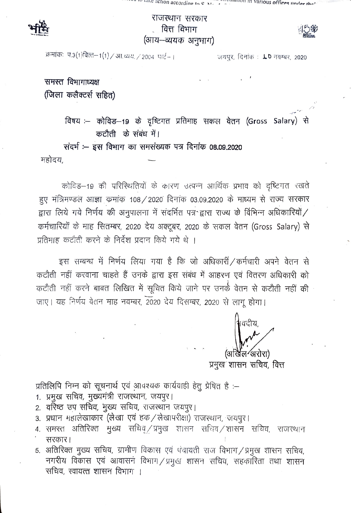## राजस्थान सरकार वित्त विभाग (आय–व्ययक अनुभाग)

क्रमांकः प.३(१)वित्त–१(१) / आ.च्यय. / २००४ पार्ट– ।

जयपुर, दिनांक: LD नवम्बर, 2020

समस्त विभागाध्यक्ष (जिला कलैक्टर्स सहित)

> विषय :-- कोविड-19 के दृष्टिगत प्रतिमाह सकल वेतन (Gross Salary) से कटौती के संबंध में।

संदर्भ :-- इस विभाग का समसंख्यक पत्र दिनांक 08.09.2020

महोदय,

कोविड-19 की परिस्थितियों के कारण उत्पन्न आर्थिक प्रभाव को दृष्टिगत रखते हुए मंत्रिमण्डल आज्ञा कमांक 108/2020 दिनांक 03.09.2020 के माध्यम से राज्य सरकार द्वारा लिये गये निर्णय की अनुपालना में संदर्भित पत्र द्वारा राज्य के विभिन्न अधिकारियों/ कर्मचारियों के माह सितम्बर, 2020 देय अक्टूबर, 2020 के सकल वेतन (Gross Salary) से प्रतिमाह कटौती करने के निर्देश प्रदान किये गये थे ।

इस सम्बन्ध में निर्णय लिया गया है कि जो अधिकारीं / कर्मचारी अपने वेतन से कटौती नहीं करवाना चाहते हैं उनके द्वारा इस संबंध में आहरण एवं वितरण अधिकारी को कटौती नहीं करने बाबत लिखित में सूचित किये जाने पर उनके वेतन से कटौती नहीं की जाए। यह निर्णय वेतन माह नवम्बर, 2020 देय दिसम्बर, 2020 से लागू होगा।

खैल ′अरोरा`

प्रमुख शासन सचिव, वित्त

प्रतिलिपि निम्न को सूचनार्थ एवं आवश्यक कार्यवाही हेतु प्रेषित है :-

- 1. प्रमुख सचिव, मुख्यमंत्री राजस्थान, जयपुर।
- 2. वरिष्ठ उप सचिव, मुख्य सचिव, राजस्थान जयपुर।
- 3. प्रधान महालेखाकार (लेखा एवं हक / लेखापरीक्षा) राजस्थान, जयपुर।
- 4. समस्त अतिरिक्त मुख्य सचिव्/प्रमुख शासन सचिव/शासन सचिव, राजस्थान सरकार।
- 5. अतिरिक्त मुख्य सचिव, ग्रामीण विकास एवं पंचायती राज विभाग / प्रमुख शासन सचिव, नगरीय विकास एवं आवासनं विभाग/प्रमुख शासन सचिव, सहकारिता तथा शासन सचिव, स्वायत्त शासन विभाग ।